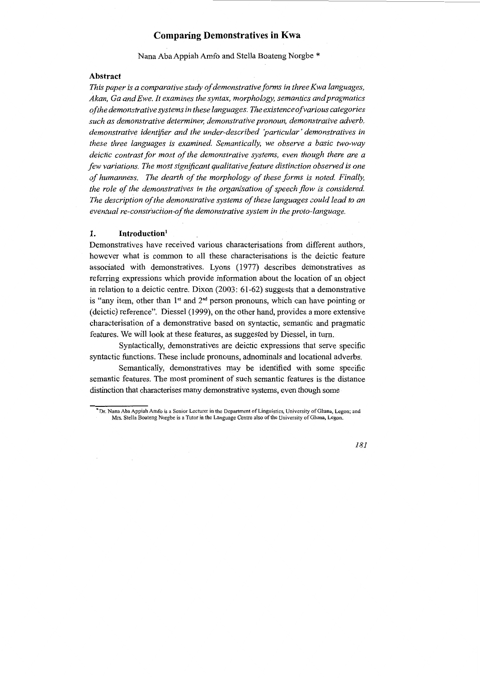## **Comparing Demonstratives in Kwa**

Nana Aha Appiah Amfo and Stella Boateng Norgbe \*

#### **Abstract**

This paper is a comparative study of demonstrative forms in three Kwa languages, *Akan, Ga and Ewe. It examines the syntax, morphology, semantics and pragmatics of the demonstrative systems in these languages: The existence of various categories such as demonstrative determiner, demonstrative pronoun, demonstrative adverb, demonstrative identifier and the under-described 'particular' demonstratives in these three languages is examined. Semantically, we observe a basic two-way deictic contrast for most of the demonstrative systems, even though there are a few variations. The most significant qualitative feature distinction observed is one of humanness. The dearth of the morphology of these forms is noted. Finally, the role of the demonstratives in the organisation of speech flow is considered. The description of the demonstrative systems of these languages could lead to an eventual re-constr'uciion·of the demonstrative system in the proto-language.* 

## **1. Introduction<sup>1</sup>**

Demonstratives have received various characterisations from different authors, however what is common to all these characterisations is the deictic feature associated with demonstratives. Lyons ( 1977) describes demonstratives as referring expressions which provide information about the location of an object in relation to a deictic centre. Dixon (2003: 61-62) suggests that a demonstrative is "any item, other than  $1<sup>st</sup>$  and  $2<sup>nd</sup>$  person pronouns, which can have pointing or (deictic) reference". Diessel (1999), on the other hand, provides a more extensive characterisation of a demonstrative based on syntactic, semantic and pragmatic features. We will look at these features, as suggested by Diessel, in turn.

Syntactically, demonstratives are deictic expressions that serve specific syntactic functions. These include pronouns, adnominals and locational adverbs.

Semantically, demonstratives may be identified with some specific semantic features. The most prominent of such semantic features is the distance distinction that characterises many demonstrative systems, even though some

*181* 

<sup>\*</sup>Dr. Nana Aba Appiah Amfo is a Senior Lecturer in the Department of Linguistics, University of Ghana, Legon; and Mrs. Stella Boateng Norgbe is a Tutor in the Language Centre also of the University of Ghana, Legon.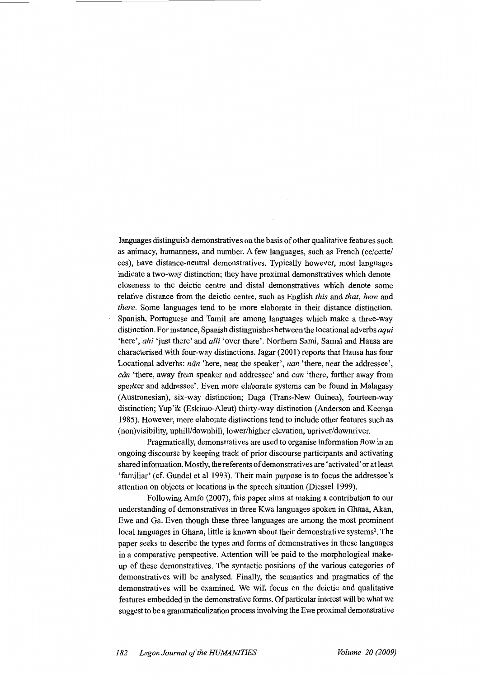languages distinguish demonstratives on the basis of other qualitative features such as animacy, humanness, and number. A few languages, such as French (ce/cette/ ces ), have distance-neutral demonstratives. Typically however, most languages indicate a two-way distinction; they have proximal demonstratives which denote closeness to the deictic centre and distal demonstratives which denote some relative distance from the deictic centre, such as English *this* and *that, here* and *there*. Some languages tend to be more elaborate in their distance distinction. Spanish, Portuguese and Tamil are among languages which make a three-way distinction. For instance, Spanish distinguishes between the locational adverbs *aqui*  'here', *ahi* 'just there' and *alli* 'over there'. Northern Sami, Samal and Hausa are characterised with four-way distinctions. Jagar (2001) reports that Hausa has four Locational adverbs: *nân* 'here, near the speaker', *nan* 'there, near the addressee', *ciin* 'there, away from speaker and addressee' and *can* 'there, further away from speaker and addressee'. Even more elaborate systems can be found in Malagasy (Austronesian), six-way distinction; Daga (Trans-New Guinea), fourteen-way distinction; Yup'ik (Eskimo-Aleut) thirty-way distinction (Anderson and Keenan 1985). However, more elaborate distinctions tend to include other features such as (non)visibility, uphill/downhill, lower/higher elevation, upriver/downriver.

Pragmatically, demonstratives are used to organise information flow in an ongoing discourse by keeping track of prior discourse participants and activating shared information. Mostly, the referents of demonstratives are 'activated' or at least 'familiar' (cf. Gundel et al 1993). Their main purpose is to focus the addressee's attention on objects or locations in the speech situation (Diessel 1999).

Following Amfo (2007), this paper aims at making a contribution to our understanding of demonstratives in three Kwa languages spoken in Ghana, Akan, Ewe and Ga. Even though these three languages are among the most prominent local languages in Ghana, little is known about their demonstrative systems<sup>2</sup>. The paper seeks to describe the types and forms of demonstratives in these languages in a comparative perspective. Attention will be paid to the morphological makeup of these demonstratives. The syntactic positions of the various categories of demonstratives will be analysed. Finally, the semantics and pragmatics of the demonstratives will be examined. We will focus on the deictic and qualitative features embedded in the demonstrative forms. Of particular interest will be what we suggest to be a grammaticalization process involving the Ewe proximal demonstrative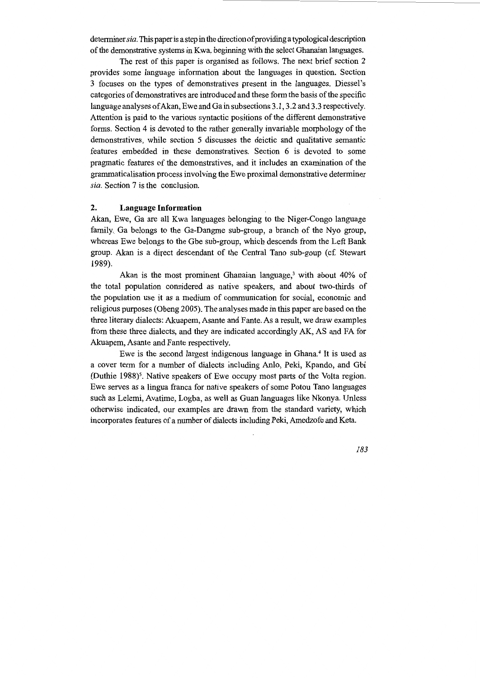determiner *sia.* This paper is a step in the direction of providing a typological description of the demonstrative systems in Kwa, beginning with the select Ghanaian languages.

The rest of this paper is organised as follows. The next brief section 2 provides some language information about the languages in question. Section 3 focuses on the types of demonstratives present in the languages. Diessel 's categories of demonstratives are introduced and these form the basis of the specific language analyses of Akan, Ewe and Ga in subsections 3.1, 3.2 and 3.3 respectively. Attention is paid to the various syntactic positions of the different demonstrative forms. Section 4 is devoted to the rather generally invariable morphology of the demonstratives, while section 5 discusses the deictic and qualitative semantic features embedded in these demonstratives. Section 6 is devoted to some pragmatic features of the demonstratives, and it includes an examination of the grammaticalisation process involving the Ewe proximal demonstrative determiner *sia.* Section 7 is the conclusion.

## **2. Language Information**

Akan, Ewe, Ga are all Kwa languages belonging to the Niger-Congo language family. Ga belongs to the Ga-Dangme sub-group, a branch of the Nyo group, whereas Ewe belongs to the Gbe sub-group, which descends from the Left Bank group. Akan is a direct descendant of the Central Tano sub-goup (cf. Stewart 1989).

Akan is the most prominent Ghanaian language,<sup>3</sup> with about 40% of the total population considered as native speakers, and about two-thirds of the population use it as a medium of communication for social, economic and religious purposes (Obeng 2005). The analyses made in this paper are based on the three literary dialects: Akuapem, Asante and Pante. As a result, we draw examples from these three dialects, and they are indicated accordingly AK, AS and FA for Akuapem, Asante and Pante respectively.

Ewe is the second largest indigenous language in Ghana.4 It is used as a cover term for a number of dialects including Anlo, Peki, Kpando, and Gbi (Duthie 1988)<sup>5</sup>. Native speakers of Ewe occupy most parts of the Volta region. Ewe serves as a lingua franca for native speakers of some Potou Tano languages such as Lelemi, Avatime, Logba, as well as Guan languages like Nkonya. Unless otherwise indicated, our examples are drawn from the standard variety, which incorporates features of a number of dialects including Peki, Amedzofe and Keta.

*183*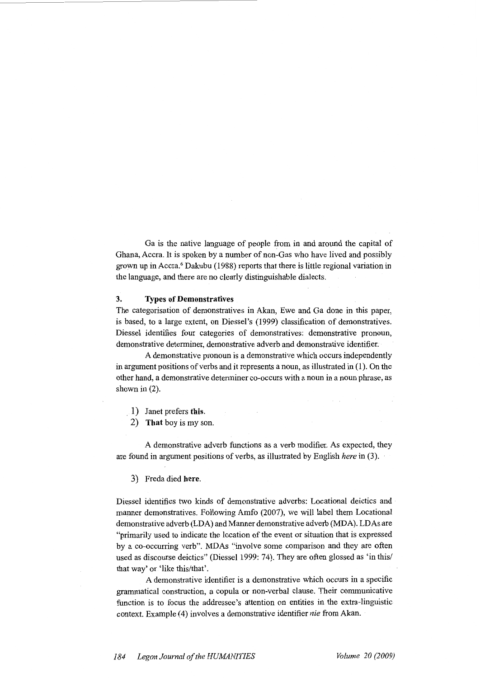Ga is the native language of people from in and around the capital of Ghana, Accra. It is spoken by a number of non-Gas who have lived and possibly grown up in Accra.6 Dakubu (1988) reports that there is little regional variation in the language, and there are no clearly distinguishable dialects.

## **3. Types of Demonstratives**

The categorisation of demonstratives in Akan, Ewe and Ga done in this paper, is based, to a large extent, on Diessel's (1999) classification of demonstratives. Diessel identifies four categories of demonstratives: demonstrative pronoun, demonstrative determiner, demonstrative adverb and demonstrative identifier.

A demonstrative pronoun is a demonstrative which occurs independently in argument positions of verbs and it represents a noun, as illustrated in (1). On the other hand, a demonstrative determiner co-occurs with a noun in a noun phrase, as shown in  $(2)$ .

- . 1) Janet prefers **this.**
- 2) **That** boy is my son.

A demonstrative adverb functions as a verb modifier. As expected, they are found in argument positions of verbs, as illustrated by English *here* in (3).

3) Freda died **here.** 

Diessel identifies two kinds of demonstrative adverbs: Locational deictics and manner demonstratives. Following Amfo (2007), we will label them Locational demonstrative adverb (LDA) and Manner demonstrative adverb (MDA). LDAs are "primarily used to indicate the location of the event or situation that is expressed by a co-occurring verb". MDAs "involve some comparison and they are often used as discourse deictics" (Diessel 1999: 74). They are often glossed as 'in this/ that way' or 'like this/that'.

A demonstrative identifier is a demonstrative which occurs in a specific grammatical construction, a copula or non-verbal clause. Their communicative function is to focus the addressee's attention on entities in the extra-linguistic context. Example { 4) involves a demonstrative identifier *nie* from Akan.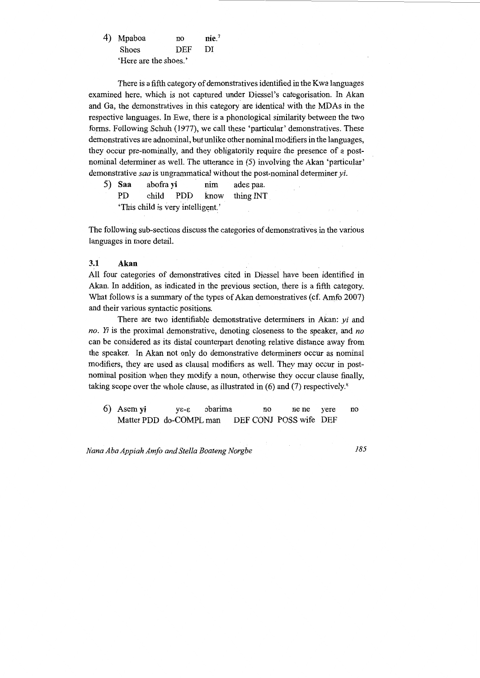|  | 4) Mpaboa    | no         | nie.7 |
|--|--------------|------------|-------|
|  | <b>Shoes</b> | <b>DEF</b> | DI    |
|  |              |            |       |

There is a fifth category of demonstratives identified in the Kwa languages examined here, which is not captured under Diessel's categorisation. In Akan and Ga, the demonstratives in this category are identical with the MDAs in the respective languages. In Ewe, there is a phonological similarity between the two forms. Following Schuh (1977), we call these 'particular' demonstratives. These demonstratives are adnominal, but unlike other nominal modifiers in the languages, they occur pre-nominally, and they obligatorily require the presence of a postnominal determiner as well. The utterance in (5) involving the Akan 'particular' demonstrative *saa* is ungrammatical without the post-nominal determiner *yi.* 

| 5) Saa                            | abofra yi | nim | ades paa.                |
|-----------------------------------|-----------|-----|--------------------------|
| PD.                               |           |     | child PDD know thing INT |
| 'This child is very intelligent.' |           |     |                          |

The following sub-sections discuss the categories of demonstratives in the various languages in more detail.

## **3.1 Akan**

All four categories of demonstratives cited in Diessel have been identified in Akan. In addition, as indicated in the previous section, there is a fifth category. What follows is a summary of the types of Akan demonstratives (cf. Amfo 2007) and their various syntactic positions.

There are two identifiable demonstrative determiners in Akan: *yi* and *no. Yi* is the proximal demonstrative, denoting closeness to the speaker, and *no*  can be considered as its distal counterpart denoting relative distance away from the speaker. In Akan not only do demonstrative determiners occur as nominal modifiers, they are used as clausal modifiers as well. They may occur in postnominal position when they modify a noun, otherwise they occur clause finally, taking scope over the whole clause, as illustrated in (6) and (7) respectively.<sup>8</sup>

6) Asem **yi** yE-E :)barima no ne ne yere no Matter PDD do-COMPL man DEF CONJ POSS wife DEF

*Nana Aha Appiah Amfo and Stella Boateng Norgbe 185*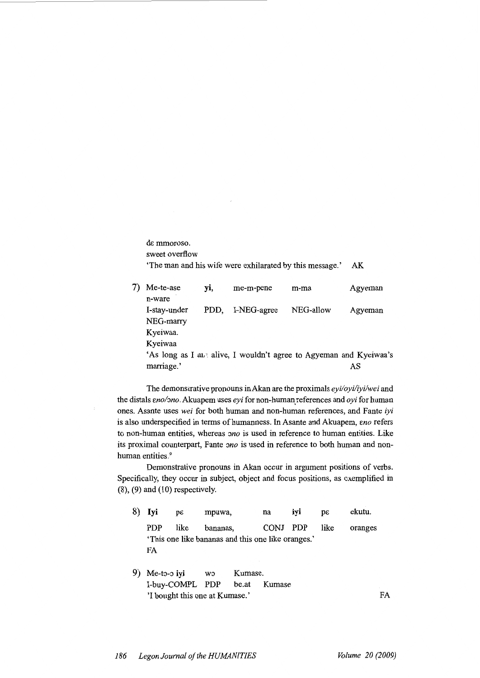de mmoroso. sweet overflow 'The man and his wife were exhilarated by this message.' AK

7) Me-te-ase yi, me-m-pene m-ma Agyeman n-ware I-stay-under PDD, I-NEG-agree NEG-allow Agyeman NEG-marry Kyeiwaa. Kyeiwaa 'As long as I a $\mu$  alive, I wouldn't agree to Agyeman and Kyeiwaa's marriage.' AS

The demonstrative pronouns in Akan are the proximals *eyi/oyi/iyi/wei* and the distals *Eno/ono*. Akuapem uses *eyi* for non-human references and *oyi* for human ones. Asante uses *wei* for both human and non-human references, and Pante *iyi*  is also underspecified in terms of humanness. In Asante and Akuapem, *eno* refers to non-human entities, whereas *ono* is used in reference to human entities. Like its proximal counterpart, Pante *ono* is used in reference to both human and nonhuman entities.<sup>9</sup>

Demonstrative pronouns in Akan occur in argument positions of verbs. Specifically, they occur in subject, object and focus positions, as exemplified in  $(8)$ ,  $(9)$  and  $(10)$  respectively.

| 8) Iyi | $p\epsilon$ | mpuwa,                                             | na       | ivi | ŋε   | ekutu.  |
|--------|-------------|----------------------------------------------------|----------|-----|------|---------|
| PDP.   | like        | bananas.                                           | CONJ PDP |     | like | oranges |
|        |             | 'This one like bananas and this one like oranges.' |          |     |      |         |
| FA     |             |                                                    |          |     |      |         |
|        |             |                                                    |          |     |      |         |
|        |             |                                                    |          |     |      |         |

9) Me-to-o iyi wo Kumase. I-buy-COMPL PDP be.at Kumase 'I bought this one at Kumase.' FA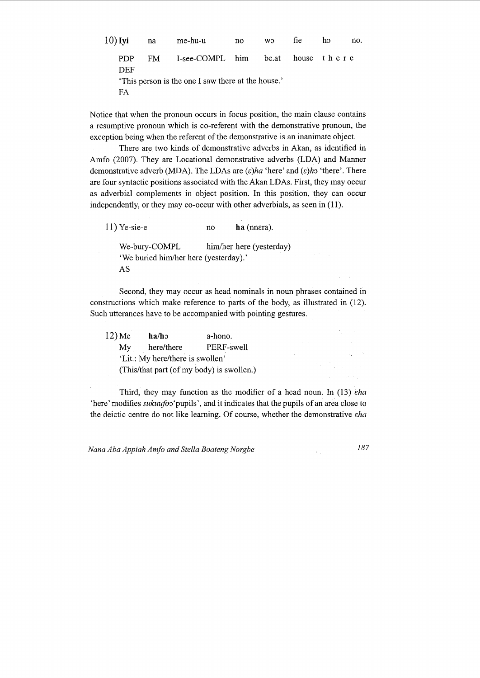| 10) Iyi           | na   | me-hu-u                                            | no no | <b>WO</b> | fie | ho | no. |
|-------------------|------|----------------------------------------------------|-------|-----------|-----|----|-----|
| <b>PDP</b><br>DEF | FM - | I-see-COMPL him be.at house there                  |       |           |     |    |     |
| FA                |      | 'This person is the one I saw there at the house.' |       |           |     |    |     |

Notice that when the pronoun occurs in focus position, the main clause contains a resumptive pronoun which is co-referent with the demonstrative pronoun, the exception being when the referent of the demonstrative is an inanimate object.

There are two kinds of demonstrative adverbs in Akan, as identified in Amfo (2007). They are Locational demonstrative adverbs (LDA) and Manner demonstrative adverb (MDA). The LDAs are  $(\varepsilon)$ *ha* 'here' and  $(\varepsilon)$ *h*o 'there'. There are four syntactic positions associated with the Akan LDAs. First, they may occur as adverbial complements in object position. In this position, they can occur independently, or they may co-occur with other adverbials, as seen in (11).

11) Ye-sie-e no **ha** (nnera). We-bury-COMPL him/her here (yesterday) 'We buried him/her here (yesterday).' AS

Second, they may occur as head nominals in noun phrases contained in constructions which make reference to parts of the body, as illustrated in (12). Such utterances have to be accompanied with pointing gestures.

| $12)$ Me                                  | $\mathbf{ha}/\mathbf{ho}$        | a-hono.    |  |  |  |  |  |  |
|-------------------------------------------|----------------------------------|------------|--|--|--|--|--|--|
| My                                        | here/there                       | PERF-swell |  |  |  |  |  |  |
|                                           | 'Lit.: My here/there is swollen' |            |  |  |  |  |  |  |
| (This/that part (of my body) is swollen.) |                                  |            |  |  |  |  |  |  |

Third, they may function as the modifier of a head noun. In (13)  $eha$ 'here' modifies *sukuufo* 'pupils', and it indicates that the pupils of an area close to the deictic centre do not like learning. Of course, whether the demonstrative *sha* 

*Nana Aba Appiah Amfo and Stella Boateng Norgbe 187* 

 $\alpha$  and  $\alpha$ 

 $\mathcal{L}_{\text{max}}$  and  $\mathcal{L}_{\text{max}}$ 

 $\label{eq:2.1} \left\langle \left\langle \mathbf{z} \right\rangle \right\rangle = \left\langle \left\langle \mathbf{z} \right\rangle \right\rangle = \left\langle \left\langle \mathbf{z} \right\rangle \right\rangle = \left\langle \left\langle \mathbf{z} \right\rangle \right\rangle = \left\langle \left\langle \mathbf{z} \right\rangle \right\rangle = \left\langle \mathbf{z} \right\rangle$  $\bar{z}$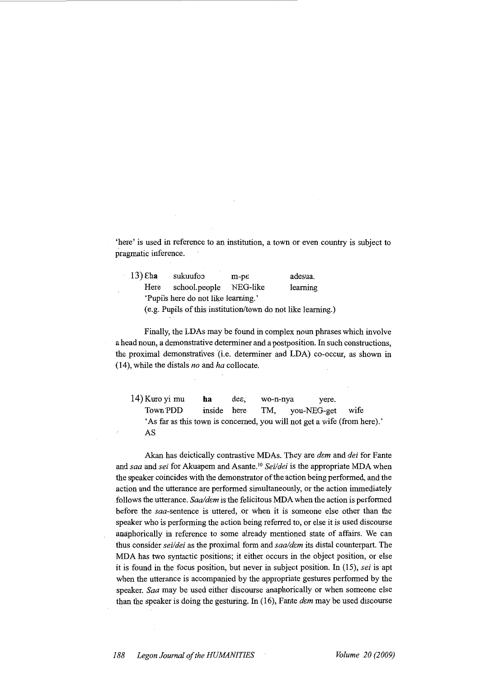'here' is used in reference to an institution, a town or even country is subject to pragmatic inference.

| $.13)$ Eha                                                   | sukuufoo      | $m-p\epsilon$ | adesua.  |  |  |  |  |  |  |
|--------------------------------------------------------------|---------------|---------------|----------|--|--|--|--|--|--|
| Here                                                         | school.people | NEG-like      | learning |  |  |  |  |  |  |
| 'Pupils here do not like learning.'                          |               |               |          |  |  |  |  |  |  |
| (e.g. Pupils of this institution/town do not like learning.) |               |               |          |  |  |  |  |  |  |

Finally, the LDAs may be found in complex noun phrases which involve a head noun, a demonstrative determiner and a postposition. In such constructions, the proximal demonstratives (i.e. determiner and LDA) co-occur, as shown in (14), while the distals *no* and *ha* collocate.

14) Kuro yi mu ha dee, wo-n-nya yere. Town·PDD inside here TM, you-NEG-get wife 'As far as this town is concerned, you will not get a wife (from here).' AS

Akan has deictically contrastive MDAs. They are *dem* and *dei* for Fante and *saa* and *sei* for Akuapem and Asante. <sup>10</sup>*Sei/dei* is the appropriate MDA when the speaker coincides with the demonstrator of the action being performed, and the action and the utterance are performed simultaneously, or the action immediately follows the utterance. *Saaldcm* is the felicitous MDA when the action is performed before the saa-sentence is uttered, or when it is someone else other than the speaker who is performing the action being referred to, or else it is used discourse anaphorically in reference to some already mentioned state of affairs. We can thus consider *sei/dei* as the proximal form and *saa/dem* its distal counterpart. The MDA has two syntactic positions; it either occurs in the object position, or else it is found in the focus position, but never in subject position. In (15), *sei* is apt when the utterance is accompanied by the appropriate gestures performed by the speaker. *Saa* may be used either discourse anaphorically or when someone else than the speaker is doing the gesturing. In (16), Pante *dcm* may be used discourse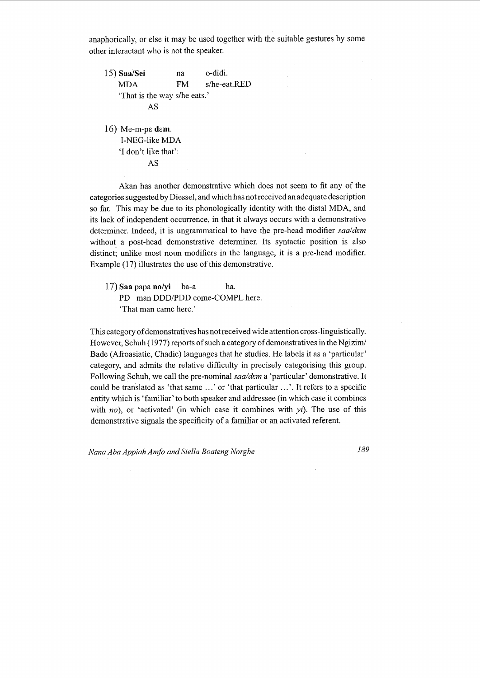anaphorically, or else it may be used together with the suitable gestures by some other interactant who is not the speaker.

15) **Saa/Sei**  MDA na FM o-didi. s/he-eat.RED 'That is the way s/he eats.' AS 16) Me-m-ps **dsm.**  I-NEG-like MDA 'I don't like that':

AS

Akan has another demonstrative which does not seem to fit any of the categories suggested by Diessel, and which has not received an adequate description so far. This may be due to its phonologically identity with the distal MDA, and its lack of independent occurrence, in that it always occurs with a demonstrative determiner. Indeed, it is ungrammatical to have the pre-head modifier saa/dem without a post-head demonstrative determiner. Its syntactic position is also distinct; unlike most noun modifiers in the language, it is a pre-head modifier. Example (17) illustrates the use of this demonstrative.

17) **Saa** papa **no/yi** ba-a ha. PD man DDD/PDD come-COMPL here. 'That man came here.'

This category of demonstratives has not received wide attention cross-linguistically. However, Schuh (1977) reports of such a category of demonstratives in the Ngizim/ Bade (Afroasiatic, Chadic) languages that he studies. He labels it as a 'particular' category, and admits the relative difficulty in precisely categorising this group. Following Schuh, we call the pre-nominal *saa/dem* a 'particular' demonstrative. It could be translated as 'that same ...' or 'that particular ...'. It refers to a specific entity which is 'familiar' to both speaker and addressee (in which case it combines with *no*), or 'activated' (in which case it combines with *yi*). The use of this demonstrative signals the specificity of a familiar or an activated referent.

*Nana Aba Appiah Amfo and Stella Boateng Norgbe 189*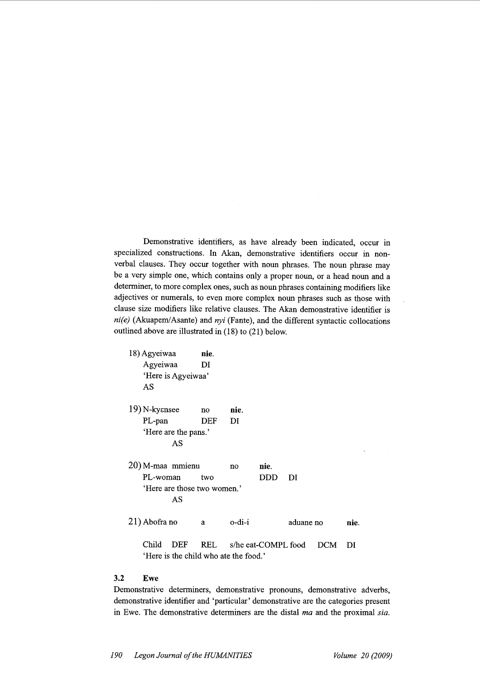Demonstrative identifiers, as have already been indicated, occur in specialized constructions. In Akan, demonstrative identifiers occur in nonverbal clauses. They occur together with noun phrases. The noun phrase may be a very simple one, which contains only a proper noun, or a head noun and a determiner, to more complex ones, such as noun phrases containing modifiers like adjectives or numerals, to even more complex noun phrases such as those with clause size modifiers like relative clauses. The Akan demonstrative identifier is *ni(e)* (Akuapem/Asante) and *nyi* (Fante), and the different syntactic collocations outlined above are illustrated in (18) to (21) below.

| 18) Agyeiwaa<br>Agyeiwaa<br>AS | 'Here is Agyeiwaa'          | nie.<br>DI |        |                     |           |     |      |
|--------------------------------|-----------------------------|------------|--------|---------------------|-----------|-----|------|
| 19) N-kyensee                  |                             | no         | nie.   |                     |           |     |      |
| PL-pan                         |                             | DEF        | DI     |                     |           |     |      |
|                                | 'Here are the pans.'        |            |        |                     |           |     |      |
|                                | AS                          |            |        |                     |           |     |      |
| 20) M-maa mmienu               |                             |            | no     | nie.                |           |     |      |
| PL-woman                       |                             | two        |        | DDD                 | DI        |     |      |
|                                | 'Here are those two women.' |            |        |                     |           |     |      |
|                                | AS                          |            |        |                     |           |     |      |
| 21) Abofra no                  |                             | a          | o-di-i |                     | aduane no |     | nie. |
| Child                          | DEF                         | REL        |        | s/he eat-COMPL food |           | DCM | DI   |

'Here is the child who ate the food.'

# **3.2 Ewe**

Demonstrative determiners, demonstrative pronouns, demonstrative adverbs, demonstrative identifier and 'particular' demonstrative are the categories present in Ewe. The demonstrative determiners are the distal *ma* and the proximal *sia.*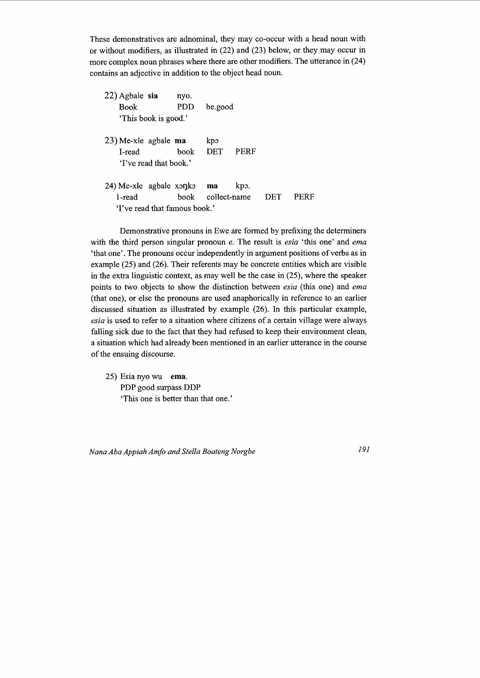These demonstratives are adnominal, they may co-occur with a head noun with or without modifiers, as illustrated in (22) and (23) below, or they may occur in more complex noun phrases where there are other modifiers. The utterance in (24) contains an adjective in addition to the object head noun.

| 22) Agbale sia<br><b>Book</b>                                  | 'This book is good.'   | nyo.<br>PDD                           | be.good           |             |     |      |
|----------------------------------------------------------------|------------------------|---------------------------------------|-------------------|-------------|-----|------|
| $23)$ Me-xle agbale ma<br>L-read                               | 'I've read that book.' | book                                  | kpo<br><b>DET</b> | <b>PERF</b> |     |      |
| 24) Me-xle agbale $x \circ \eta k \circ \mathbf{ma}$<br>L-read |                        | hook<br>'I've read that famous book.' | collect-name      | kpo.        | DET | PERF |

Demonstrative pronouns in Ewe are formed by prefixing the determiners with the third person singular pronoun *e.* The result is *esia* 'this one' and *ema*  'that one'. The pronouns occur independently in argument positions of verbs as in example (25) and (26). Their referents may be concrete entities which are visible in the extra linguistic context, as may well be the case in (25), where the speaker points to two objects to show the distinction between *esia* (this one) and *ema*  (that one), or else the pronouns are used anaphorically in reference to an earlier discussed situation as illustrated by example (26). In this particular example, *esia* is used to refer to a situation where citizens of a certain village were always falling sick due to the fact that they had refused to keep their environment clean, a situation which had already been mentioned in an earlier utterance in the course of the ensuing discourse.

25) Esia nyo wu **ema.**  PDP good surpass DDP 'This one is better than that one.'

*Nana Aha Appiah Amfo and Stella Boateng Norgbe* 191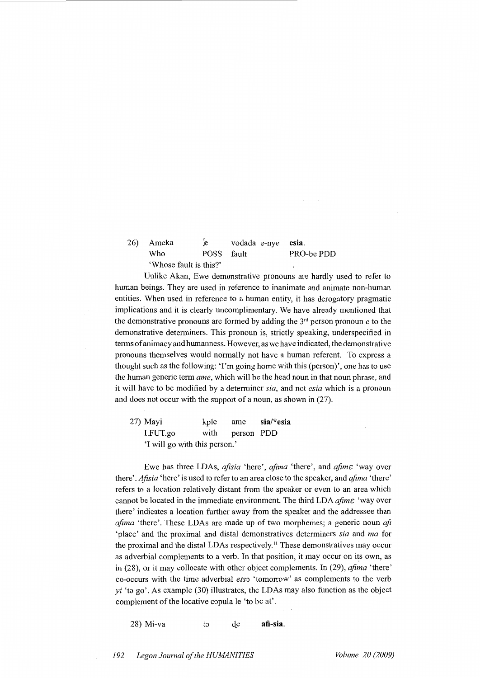#### 26) Ameka Who fe vodada e-nye **esia.**  POSS fault PRO-be PDD 'Whose fault is this?'

Unlike Akan, Ewe demonstrative pronouns are hardly used to refer to human beings. They are used in reference to inanimate and animate non-human entities. When used in reference to a human entity, it has derogatory pragmatic implications and it is clearly uncomplimentary. We have already mentioned that the demonstrative pronouns are formed by adding the  $3<sup>rd</sup>$  person pronoun *e* to the demonstrative determiners. This pronoun is, strictly speaking, underspecified in terms of animacy and humanness. However, as we have indicated, the demonstrative pronouns themselves would normally not have a human referent. To express a thought such as the following: 'I'm going home with this (person)', one has to use the human generic term *ame,* which will be the head noun in that noun phrase, and it will have to be modified by a determiner *sia,* and not *esia* which is a pronoun and does not occur with the support of a noun, as shown in (27).

27) Mayi kple ame **sia/\*esia**  I.FUT.go with person PDD 'I will go with this person.'

Ewe has three LDAs, *afisia* 'here', *afima* 'there', and *afime* 'way over there'. *Afisia* 'here' is used to refer to an area close to the speaker, and *afima* 'there' refers to a location relatively distant from the speaker or even to an area which cannot be located in the immediate environment. The third LDA *afimE* 'way over there' indicates a location further away from the speaker and the addressee than *afima* 'there'. These LDAs are made up of two morphemes; a generic noun *aft* 'place' and the proximal and distal demonstratives determiners *sia* and *ma* for the proximal and the distal LDAs respectively.<sup>11</sup> These demonstratives may occur as adverbial complements to a verb. In that position, it may occur on its own, as in (28), or it may collocate with other object complements. In (29), *afima* 'there' co-occurs with the time adverbial *ets*<sup>2</sup> 'tomorrow' as complements to the verb  $yi$  'to go'. As example (30) illustrates, the LDAs may also function as the object complement of the locative copula le 'to be at'.

28) Mi-va to de **afi-sia**.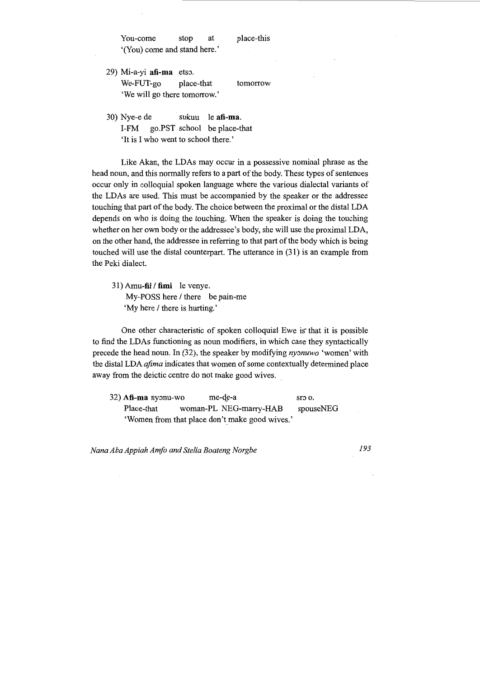You-come stop at place-this '(You) come and stand here.'

- 29) Mi-a-yi **afi-ma** etso. We-FUT-go place-that tomorrow 'We will go there tomorrow.'
- 30) Nye-e de sukuu le **afi-ma.**  I-FM go.PST school be place-that 'It is I who went to school there.'

Like Akan, the LDAs may occur in a possessive nominal phrase as the head noun, and this normally refers to a part of the body. These types of sentences occur only in colloquial spoken language where the various dialectal variants of the LDAs are used. This must be accompanied by the speaker or the addressee touching that part of the body. The choice between the proximal or the distal LDA depends on who is doing the touching. When the speaker is doing the touching whether on her own body or the addressee's body, she will use the proximal LDA, on the other hand, the addressee in referring to that part of the body which is being touched will use the distal counterpart. The utterance in (31) is an example from the Peki dialect.

31) Amu-fii / fimi le venye. My-POSS here / there be pain-me 'My here / there is hurting.'

One other characteristic of spoken colloquial Ewe is that it is possible to find the LDAs functioning as noun modifiers, in which case they syntactically precede the head noun. In (32), the speaker by modifying *nyonuwo* 'women' with the distal LDA *afima* indicates that women of some contextually determined place away from the deictic centre do not make good wives.

32) **Afi-ma** nyonu-wo me-de-a sro o. Place-that woman-PL NEG-marry-HAB spouseNEG 'Women from that place don't make good wives.'

*Nana Aba Appiah Amfo and Stella Boateng Norgbe 193*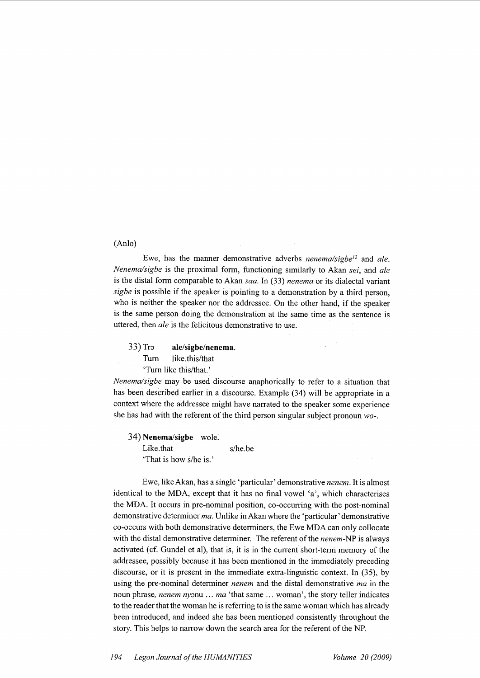# (Anlo)

Ewe, has the manner demonstrative adverbs *nenemalsigbe*12 and *ale. Nenemalsigbe* is the proximal form, functioning similarly to Akan *sei,* and *ale*  is the distal form comparable to Akan *saa.* In (33) *nenema* or its dialectal variant *sigbe* is possible if the speaker is pointing to a demonstration by a third person, who is neither the speaker nor the addressee. On the other hand, if the speaker is the same person doing the demonstration at the same time as the sentence is uttered, then *ale* is the felicitous demonstrative to use.

33) Tr<sub>3</sub> **ale/sigbe/nenema.** 

Tum like.this/that

'Tum like this/that.'

*Nenemalsigbe* may be used discourse anaphorically to refer to a situation that has been described earlier in a discourse. Example (34) will be appropriate in a context where the addressee might have narrated to the speaker some experience she has had with the referent of the third person singular subject pronoun *wo-.* 

34) **Nenema/sigbe** wole. Like.that s/he.be 'That is how s/he is.'

Ewe, like Akan, has a single 'particular' demonstrative *nenem.* It is almost identical to the MDA, except that it has no final vowel 'a', which characterises the MDA. It occurs in pre-nominal position, co-occurring with the post-nominal demonstrative determiner *ma.* Unlike inAkan where the 'particular' demonstrative co-occurs with both demonstrative determiners, the Ewe MDA can only collocate with the distal demonstrative determiner. The referent of the *nenem-NP* is always activated (cf. Gundel et al), that is, it is in the current short-temi memory of the addressee, possibly because it has been mentioned in the immediately preceding discourse, or it is present in the immediate extra-linguistic context. In (35), by using the pre-nominal determiner *nenem* and the distal demonstrative *ma* in the noun phrase, *nenem ny*: max that same ... woman', the story teller indicates to the reader that the woman he is referring to is the same woman which has already been introduced, and indeed she has been mentioned consistently throughout the story. This helps to narrow down the search area for the referent of the NP.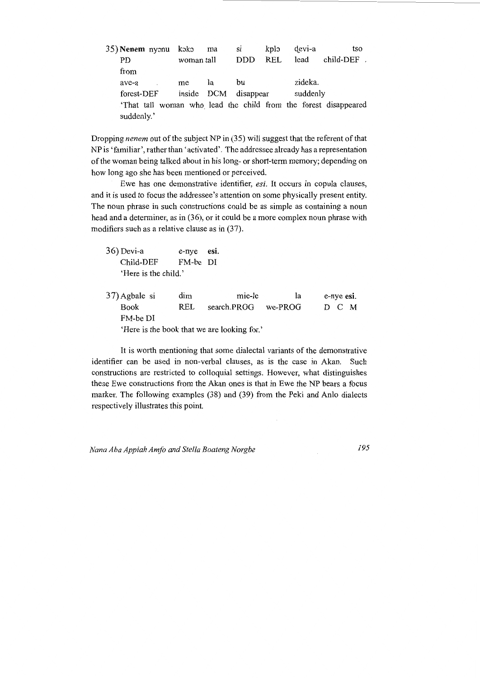| 35) Nenem nyonu koko                                           |            | ma | S1         | kplo       | devi-a  |          | tso                 |
|----------------------------------------------------------------|------------|----|------------|------------|---------|----------|---------------------|
| PD                                                             | woman tall |    | <b>DDD</b> | <b>REL</b> | lead    |          | $child$ -DEF $\,$ . |
| from                                                           |            |    |            |            |         |          |                     |
| ave-a                                                          | me         | łа | bu         |            | zideka. |          |                     |
| forest-DEF                                                     | inside DCM |    | disappear  |            |         | suddenly |                     |
| That tall woman who lead the child from the forest disappeared |            |    |            |            |         |          |                     |
| suddenly.'                                                     |            |    |            |            |         |          |                     |

Dropping *nenem* out of the subject NP in (35) will suggest that the referent of that NP is 'familiar', rather than 'activated'. The addressee already has a representation of the woman being talked about in his long- or short-term memory; depending on how long ago she has been mentioned or perceived.

Ewe has one demonstrative identifier, *esi.* It occurs in copula clauses, and it is used to focus the addressee's attention on some physically present entity. The noun phrase in such constructions could be as simple as containing a noun head and a determiner, as in (36), or it could be a more complex noun phrase with modifiers such as a relative clause as in (37).

| 36) Devi-a           | e-nye esi. |  |
|----------------------|------------|--|
| Child-DEF            | FM-be DI   |  |
| 'Here is the child.' |            |  |

37) Agbale si Book FM-be DI dim REL mie-le search.PROG we-PROG 'Here is the book that we are looking for.' la e-nye esi. D C M

It is worth mentioning that some dialectal variants of the demonstrative identifier can be used in non-verbal clauses, as is the case in Akan. Such constructions are restricted to colloquial settings. However, what distinguishes these Ewe constructions from the Akan ones is that in Ewe the NP bears a focus marker. The following examples (38) and (39) from the Peki and Anlo dialects respectively illustrates this point.

*Nana Aba Appiah Amfo and Stella Boateng Norgbe 195*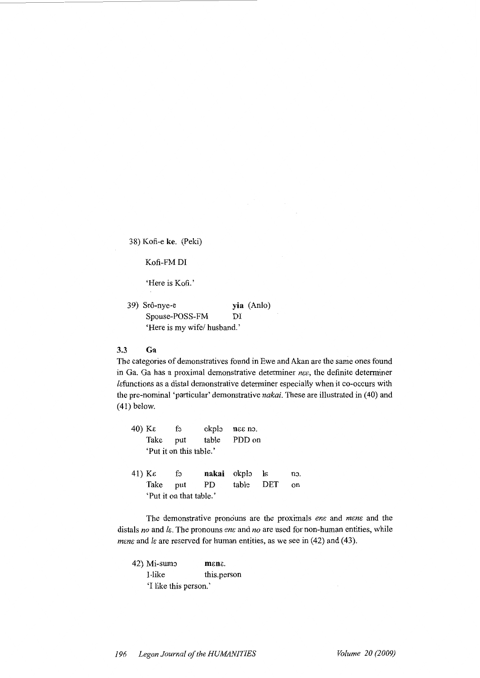38) Kofi-e ke. (Peki)

Kofi-FM DI

'Here is Kofi.'

39) Srô-nye-e Spouse-POSS-FM **yia** (Anlo) DI 'Here is my wife/ husband.'

# 3.3 **Ga**

The categories of demonstratives found in Ewe and Akan are the same ones found in Ga. Ga has a proximal demonstrative determiner *nee*, the definite determiner /c:functions as a distal demonstrative determiner especially when it co-occurs with the pre-nominal 'particular' demonstrative *nakai.* These are illustrated in (40) and (41) below.

|        | 40) Κε                  | fo                 | okplo | $n\epsilon$ as $n\delta$ . |              |     |  |  |  |
|--------|-------------------------|--------------------|-------|----------------------------|--------------|-----|--|--|--|
|        | Take                    | put                | table | PDD on                     |              |     |  |  |  |
|        | 'Put it on this table.' |                    |       |                            |              |     |  |  |  |
|        |                         |                    |       |                            |              |     |  |  |  |
| 41) Κε |                         | $f_{\mathfrak{D}}$ | nakai | okplo                      | $\mathbf{a}$ | no. |  |  |  |
|        | Take                    | put                | PD    | table                      | DET          | on  |  |  |  |
|        | 'Put it on that table.' |                    |       |                            |              |     |  |  |  |

The demonstrative pronouns are the proximals *ene* and *mene* and the distals no and *l*ε. The pronouns ene and no are used for non-human entities, while *mene* and *le* are reserved for human entities, as we see in  $(42)$  and  $(43)$ .

42) Mi-sum:) mene. I-like this.person 'I like this person.'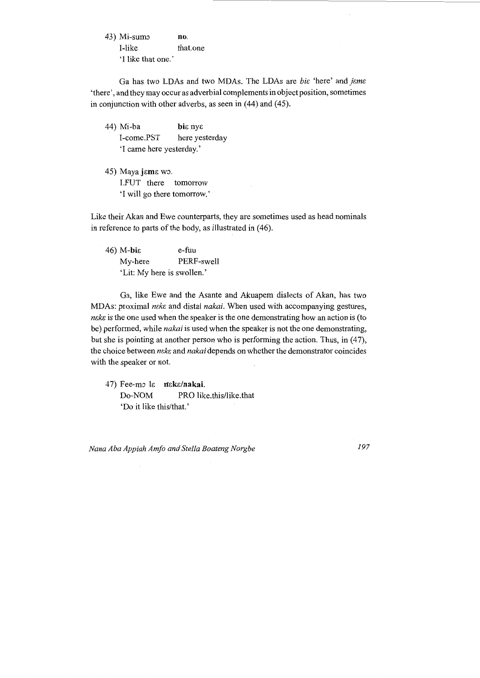43) Mi-sumo I-like 'I like that one.' no. that.one

Ga has two LDAs and two MDAs. The LDAs are *bit* 'here' and *jeme* 'there', and they may occur as adverbial complements in object position, sometimes in conjunction with other adverbs, as seen in (44) and (45).

44) Mi-ba **bi**e nye I-come.PST here yesterday 'I came here yesterday.'

45) Maya jama wo. I.FUT there tomorrow 'I will go there tomorrow.'

Like their Akan and Ewe counterparts, they are sometimes used as head nominals in reference to parts of the body, as illustrated in (46).

 $46)$  M-bi $\varepsilon$ My-here e-fuu PERF-swell 'Lit: My here is swollen.'

Ga, like Ewe and the Asante and Akuapem dialects of Akan, has two MDAs: proximal *neke* and distal *nakai*. When used with accompanying gestures, *ncke* is the one used when the speaker is the one demonstrating how an action is (to be) performed, while *nakai* is used when the speaker is not the one demonstrating, but she is pointing at another person who is performing the action. Thus, in (47), the choice between *neke* and *nakai* depends on whether the demonstrator coincides with the speaker or not.

47) Fee-mo le neke/nakai. Do-NOM PRO like.this/like.that 'Do it like this/that.'

*Nana Aba Appiah Amfo and Stella Boateng Norgbe 197*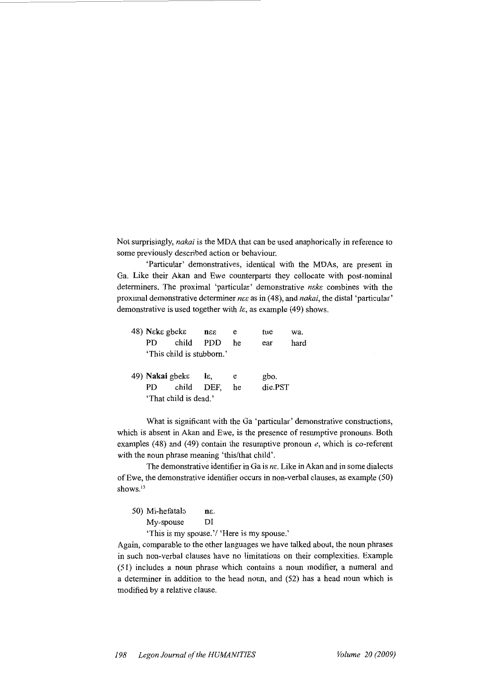Not surprisingly, nakai is the MDA that can be used anaphorically in reference to some previously described action or behaviour.

'Particular' demonstratives, identical with the MDAs, are present in Ga. Like their Akan and Ewe counterparts they collocate with post-nominal determiners. The proximal 'particular' demonstrative nckc combines with the proximal demonstrative determiner nee as in (48), and nakai, the distal 'particular' demonstrative is used together with  $l\epsilon$ , as example (49) shows.

| 48) Nεkε gbekε         |                           | mee              | e  | tue     | wa.  |
|------------------------|---------------------------|------------------|----|---------|------|
| РD                     | child                     | PDD              | he | ear     | hard |
|                        | 'This child is stubborn.' |                  |    |         |      |
| 49) <b>Nakai</b> gbekε |                           | $1\varepsilon$ . | e  | gbo.    |      |
| PD.                    | child                     | DEF.             | he | die PST |      |
|                        | 'That child is dead.'     |                  |    |         |      |

What is significant with the Ga 'particular' demonstrative constructions, which is absent in Akan and Ewe, is the presence of resumptive pronouns. Both examples (48) and (49) contain the resumptive pronoun *e*, which is co-referent with the noun phrase meaning 'this/that child'.

The demonstrative identifier in Ga is  $n\epsilon$ . Like in Akan and in some dialects of Ewe, the demonstrative identifier occurs in non-verbal clauses, as example (50) shows.<sup>13</sup>

| 50) Mi-hefatalo | nε. |
|-----------------|-----|
| My-spouse       | DI  |

'This is my spouse.'/ 'Here is my spouse.'

Again, comparable to the other languages we have talked about, the noun phrases in such non-verbal clauses have no limitations on their complexities. Example ( 51) includes a noun phrase which contains a noun modifier, a numeral and a determiner in addition to the head noun, and (52) has a head noun which is modified by a relative clause.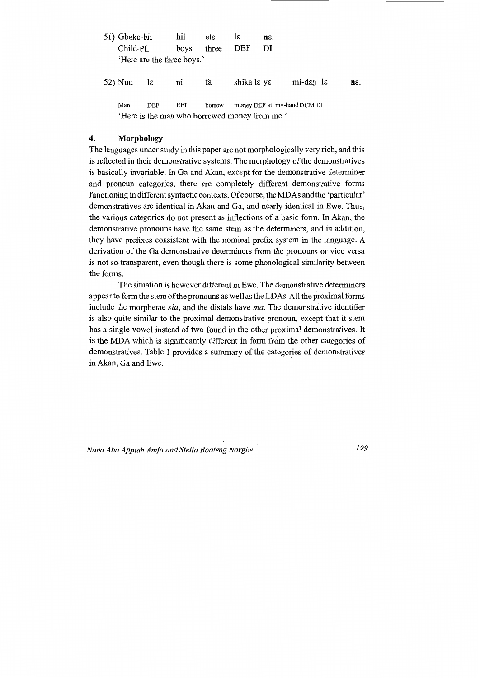| 51) Gbeks-bii |                | hii                                           | eta    | lε          | $n\epsilon$ . |                                         |               |
|---------------|----------------|-----------------------------------------------|--------|-------------|---------------|-----------------------------------------|---------------|
| Child-PL      |                | boys                                          | three  | DEF         | DI            |                                         |               |
|               |                | 'Here are the three boys.'                    |        |             |               |                                         |               |
| 52) Nuu       | $1\varepsilon$ | $\overline{\text{ni}}$                        | fa     | shika lɛ yɛ |               | $mi$ -d $\varepsilon$ n l $\varepsilon$ | $n\epsilon$ . |
| Man           | DEF            | REL                                           | borrow |             |               | money DEF at my-hand DCM DI             |               |
|               |                | 'Here is the man who borrowed money from me.' |        |             |               |                                         |               |

## **4. Morphology**

The languages under study in this paper are not morphologically very rich, and this is reflected in their demonstrative systems. The morphology of the demonstratives is basically invariable. In Ga and Akan, except for the demonstrative determiner and pronoun categories, there are completely different demonstrative forms functioning in different syntactic contexts. Of course, the MD As and the 'particular' demonstratives are identical in Akan and Ga, and nearly identical in Ewe. Thus, the various categories do not present as inflections of a basic form. In Akan, the demonstrative pronouns have the same stem as the determiners, and in addition, they have prefixes consistent with the nominal prefix system in the language. A derivation of the Ga demonstrative determiners from the pronouns or vice versa is not so transparent, even though there is some phonological similarity between the forms.

The situation is however different in Ewe. The demonstrative determiners appear to form the stem of the pronouns as well as the LDAs. All the proximal forms include the morpheme *sia,* and the distals have *ma.* The demonstrative identifier is also quite similar to the proximal demonstrative pronoun, except that it stem has a single vowel instead of two found in the other proximal demonstratives. It is the MDA which is significantly different in form from the other categories of demonstratives. Table 1 provides a summary of the categories of demonstratives in Akan, Ga and Ewe.

*Nana Aha Appiah Amfo and Stella Boateng Norgbe 199*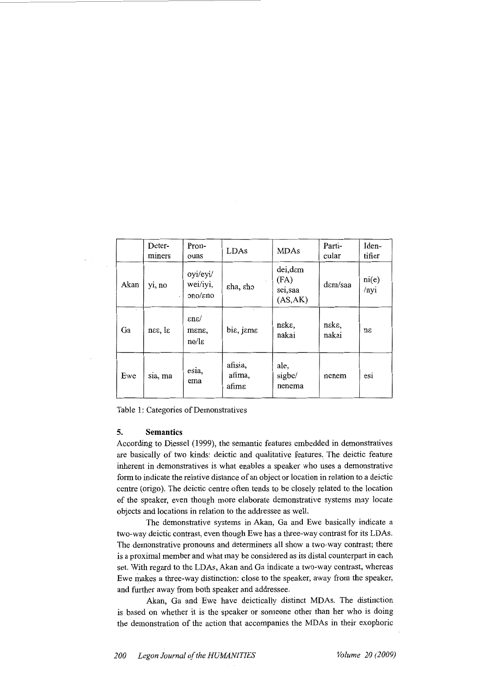|      | Deter-<br>miners           | Pron-<br>ouns                               | LDAs                       | <b>MDAs</b>                            | Parti-<br>cular | Iden-<br>tifier |
|------|----------------------------|---------------------------------------------|----------------------------|----------------------------------------|-----------------|-----------------|
| Akan | yi, no                     | oyi/eyi/<br>wei/iyi,<br>ono/eno             | εha, εho                   | dei,dam<br>(FA)<br>sei,saa<br>(AS, AK) | dem/saa         | ni(e)<br>/nyi   |
| Ga   | $n\epsilon$ , l $\epsilon$ | $\epsilon$ n $\epsilon$ /<br>mene,<br>no/le | bis, jeme                  | neke,<br>nakai                         | neke,<br>nakai  | $n\varepsilon$  |
| Ewe  | sia, ma                    | esia,<br>ema                                | afisia,<br>afima,<br>afimε | ale,<br>sigbe/<br>nenema               | nenem           | esi             |

|  |  |  |  | Table 1: Categories of Demonstratives |
|--|--|--|--|---------------------------------------|
|--|--|--|--|---------------------------------------|

#### **5. Semantics**

According to Diessel (1999), the semantic features embedded in demonstratives are basically of two kinds: deictic and qualitative features. The deictic feature inherent in demonstratives is what enables a speaker who uses a demonstrative form to indicate the relative distance of an object or location in relation to a deictic centre (origo). The deictic centre often tends to be closely related to the location of the speaker, even though more elaborate demonstrative systems may locate objects and locations in relation to the addressee as well.

The demonstrative systems in Akan, Ga and Ewe basically indicate a two-way deictic contrast, even though Ewe has a three-way contrast for its LDAs. The demonstrative pronouns and determiners all show a two-way contrast; there is a proximal member and what may be considered as its distal counterpart in each set. With regard to the LDAs, Akan and Ga indicate a two-way contrast, whereas Ewe makes a three-way distinction: close to the speaker, away from the speaker, and further away from both speaker and addressee.

Akan, Ga and Ewe have deictically distinct MDAs. The distinction is based on whether it is the speaker or someone other than her who is doing the demonstration of the action that accompanies the MDAs in their exophoric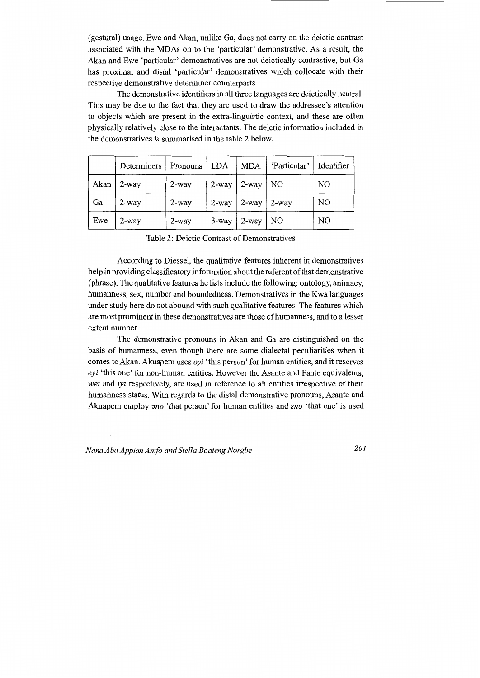(gestural) usage. Ewe and Akan, unlike Ga, does not carry on the deictic contrast associated with the MDAs on to the 'particular' demonstrative. As a result, the Akan and Ewe 'particular' demonstratives are not deictically contrastive, but Ga has proximal and distal 'particular' demonstratives which collocate with their respective demonstrative determiner counterparts.

The demonstrative identifiers in all three languages are deictically neutral. This may be due to the fact that they are used to draw the addressee's attention to objects which are present in the extra-linguistic context, and these are often physically relatively close to the interactants. The deictic information included in the demonstratives is summarised in the table 2 below.

|      | Determiners | Pronouns   LDA |          | MDA      | 'Particular' | Identifier     |
|------|-------------|----------------|----------|----------|--------------|----------------|
| Akan | $2$ -way    | $2$ -way       | $2$ -way | $2$ -way | NO           | NO             |
| Ga   | $2$ -way    | $2$ -way       | $2$ -way | $2$ -way | 2-way        | N <sub>O</sub> |
| Ewe  | $2$ -way    | $2$ -way       | 3-way    | 2-way    | NO.          | N <sub>O</sub> |

Table 2: Deictic Contrast of Demonstratives

According to Diessel, the qualitative features inherent in demonstratives help in providing classificatory information about the referent of that demonstrative (phrase). The qualitative features he lists include the following: ontology, animacy, humanness, sex, number and boundedness. Demonstratives in the Kwa languages under study here do not abound with such qualitative features. The features which are most prominent in these demonstratives are those of humanness, and to a lesser extent number.

The demonstrative pronouns in Akan and Ga are distinguished on the basis of humanness, even though there are some dialectal peculiarities when it comes to Akan. Akuapem uses *oyi* 'this person' for human entities, and it reserves *eyi* 'this one' for non-human entities. However the Asante and Fante equivalents, *wei* and *iyi* respectively, are used in reference to all entities irrespective of their humanness status. With regards to the distal demonstrative pronouns, Asante and Akuapem employ *ono* 'that person' for human entities and *eno* 'that one' is used

*Nana Aha Appiah Amfo and Stella Boateng Norgbe 201*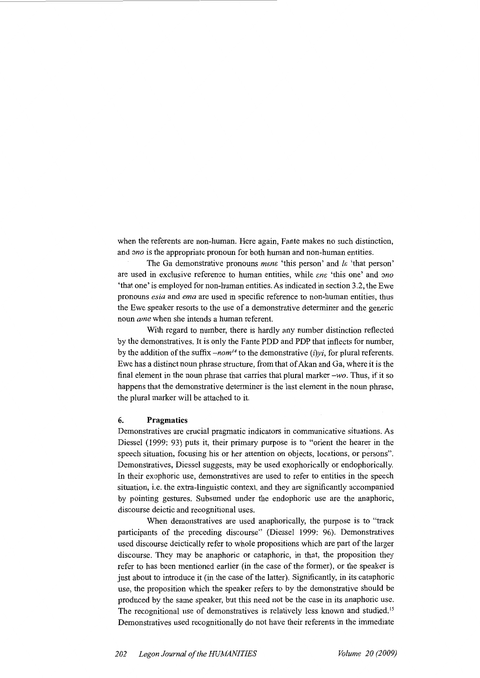when the referents are non-human. Here again, Fante makes no such distinction, and *ono* is the appropriate pronoun for both human and non-human entities.

The Ga demonstrative pronouns *mene* 'this person' and *le* 'that person' are used in exclusive reference to human entities, while  $en\varepsilon$  'this one' and *ono* 'that one' is employed for non-human entities. As indicated in section 3.2, the Ewe pronouns *esia* and *ema* are used in specific reference to non-human entities, thus the Ewe speaker resorts to the use of a demonstrative determiner and the generic noun *ame* when she intends a human referent.

With regard to number, there is hardly any number distinction reflected by the demonstratives. It is only the Fante PDD and PDP that inflects for number, by the addition of the suffix *-nom14* to the demonstrative *(i)yi,* for plural referents. Ewe has a distinct noun phrase structure, from that of Akan and Ga, where it is the final element in the noun phrase that carries that plural marker *-wo.* Thus, if it so happens that the demonstrative determiner is the last element in the noun phrase, the plural marker will be attached to it.

#### **6. Pragmatics**

Demonstratives are crucial pragmatic indicators in communicative situations. As Diessel ( 1999: 93) puts it, their primary purpose is to "orient the hearer in the speech situation, focusing his or her attention on objects, locations, or persons". Demonstratives, Diessel suggests, may be used exophorically or endophorically. In their exophoric use, demonstratives are used to refer to entities in the speech situation, i.e. the extra-linguistic context, and they are significantly accompanied by pointing gestures. Subsumed under the endophoric use are the anaphoric, discourse deictic and recognitional uses.

When demonstratives are used anaphorically, the purpose is to "track participants of the preceding discourse" (Diessel 1999: 96). Demonstratives used discourse deictically refer to whole propositions which are part of the larger discourse. They may be anaphoric or cataphoric, in that, the proposition they refer to has been mentioned earlier (in the case of the former), or the speaker is just about to introduce it (in the case of the latter). Significantly, in its cataphoric use, the proposition which the speaker refers to by the demonstrative should be produced by the same speaker, but this need not be the case in its anaphoric use. The recognitional use of demonstratives is relatively less known and studied.<sup>15</sup> Demonstratives used recognitionally do not have their referents in the immediate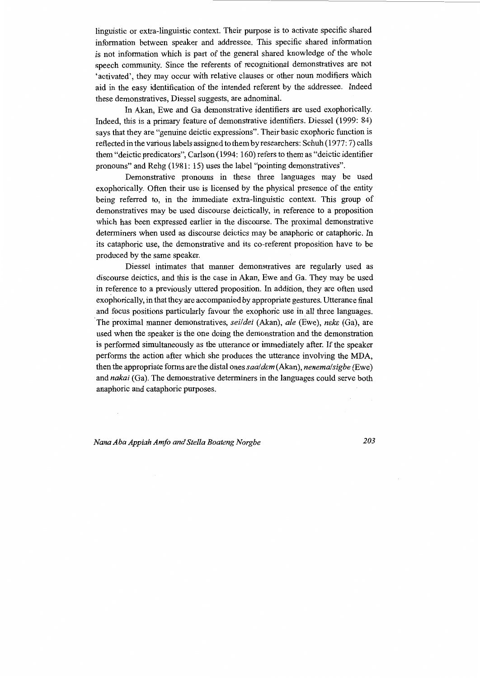linguistic or extra-linguistic context. Their purpose is to activate specific shared information between speaker and addressee. This specific shared information is not information which is part of the general shared knowledge of the whole speech community. Since the referents of recognitional demonstratives are not 'activated', they may occur with relative clauses or other noun modifiers which aid in the easy identification of the intended referent by the addressee. Indeed these demonstratives, Diessel suggests, are adnominal.

In Akan, Ewe and Ga demonstrative identifiers are used exophorically. Indeed, this is a primary feature of demonstrative identifiers. Diessel (1999: 84) says that they are "genuine deictic expressions". Their basic exophoric function is reflected in the various labels assigned to them by researchers: Schuh (1977: 7) calls them "deictic predicators", Carlson (1994: 160) refers to them as "deictic identifier pronouns" and Rehg (1981: 15) uses the label "pointing demonstratives".

Demonstrative pronouns in these three languages may be used exophorically. Often their use is licensed by the physical presence of the entity being referred to, in the immediate extra-linguistic context. This group of demonstratives may be used discourse deictically, in reference to a proposition which has been expressed earlier in the discourse. The proximal demonstrative determiners when used as discourse deictics may be anaphoric or cataphoric. In its cataphoric use, the demonstrative and its co-referent proposition have to be produced by the same speaker.

Diessel intimates that manner demonstratives are regularly used as discourse deictics, and this is the case in Akan, Ewe and Ga. They may be used in reference to a previously uttered proposition. In addition, they are often used exophorically, in that they are accompanied by appropriate gestures. Utterance final . and focus positions particularly favour the exophoric use in all three languages. The proximal manner demonstratives, *sei/dei* (Akan), *ale* (Ewe), *neke* (Ga), are used when the speaker is the one doing the demonstration and the demonstration is performed simultaneously as the utterance or immediately after. If the speaker performs the action after which she produces the utterance involving the MDA, then the appropriate forms are the distal ones *saa/ dem* (Akan), *nenema/ sigbe* (Ewe) and *nakai* (Ga). The demonstrative determiners in the languages could serve both anaphoric and cataphoric purposes.

*Nana Aha Appiah Amfo and Stella Boateng Norgbe* 203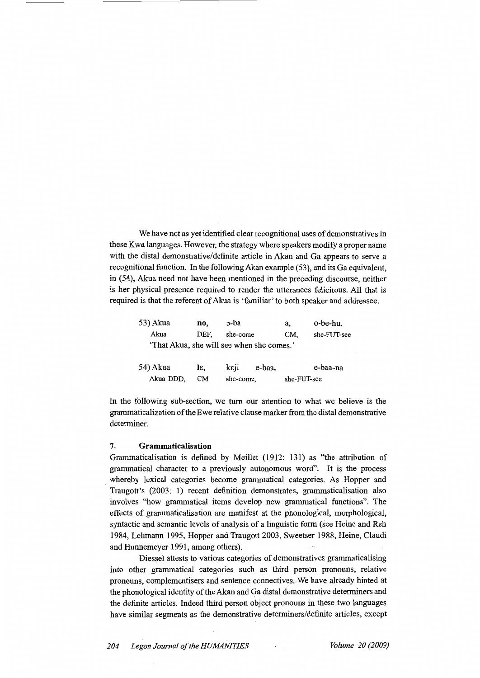We have not as yet identified clear recognitional uses of demonstratives in these Kwa languages. However, the strategy where speakers modify a proper name with the distal demonstrative/definite article in Akan and Ga appears to serve a recognitional function. In the following Akan example (53), and its Ga equivalent, in (54), Akua need not have been mentioned in the preceding discourse, neither is her physical presence required to render the utterances felicitous. All that is required is that the referent of Akua is 'familiar' to both speaker and addressee.

| 53) Akua | no.  | c-ba     | a,                                        | o-be-hu.    |
|----------|------|----------|-------------------------------------------|-------------|
| Akua     | DEF. | she-come | CM.                                       | she-FUT-see |
|          |      |          | 'That Akua, she will see when she comes.' |             |
| 54) Akua | Iε,  | keji     | e-baa,                                    | e-baa-na    |

she-come,

In the following sub-section, we turn our attention to what we believe is the grammaticalization of the Ewe relative clause marker from the distal demonstrative determiner.

she-FUT-see

## **7. Grammaticalisation**

Akua DDD, CM

Grammaticalisation is defined by Meillet (1912: 131) as "the attribution of grammatical character to a previously autonomous word". It is the process whereby lexical categories become grammatical categories. As Hopper and Traugott's (2003: 1) recent definition demonstrates, grammaticalisation also involves "how grammatical items develop new grammatical functions". The effects of grammaticalisation are manifest at the phonological, morphological, syntactic and semantic levels of analysis of a linguistic form (see Heine and Reh 1984, Lehmann 1995, Hopper and Traugott 2003, Sweetser 1988, Heine, Claudi and Hunnemeyer 1991, among others).

Diessel attests to various categories of demonstratives grammaticalising into other grammatical categories such as third person pronouns, relative pronouns, complementisers and sentence connectives. We have already hinted at the phonological identity of the Akan and Ga distal demonstrative determiners and the definite articles. Indeed third person object pronouns in these two languages have similar segments as the demonstrative determiners/definite articles, except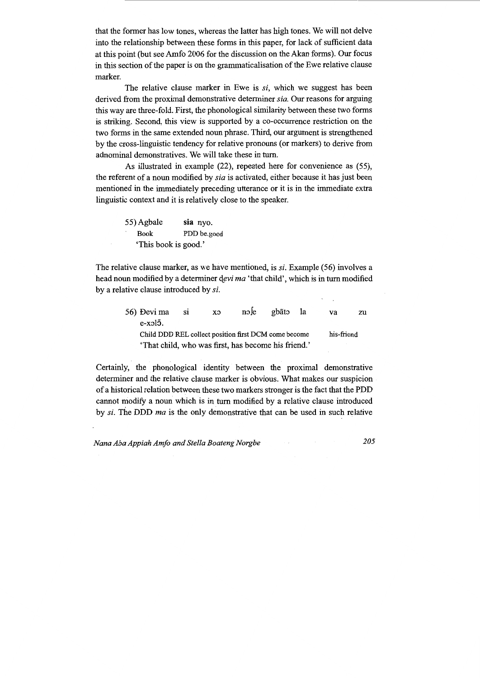that the former has low tones, whereas the latter has high tones. We will not delve into the relationship between these forms in this paper, for lack of sufficient data at this point (but see Amfo 2006 for the discussion on the Akan forms). Our focus in this section of the paper is on the grammaticalisation of the Ewe relative clause marker.

The relative clause marker in Ewe is si, which we suggest has been derived from the proximal demonstrative determiner *sia.* Our reasons for arguing this way are three-fold. First, the phonological similarity between these two forms is striking. Second, this view is supported by a co-occurrence restriction on the two forms in the same extended noun phrase. Third, our argument is strengthened by the cross-linguistic tendency for relative pronouns (or markers) to derive from adnominal demonstratives. We will take these in turn.

As illustrated in example (22), repeated here for convenience as (55), the referent of a noun modified by *sia* is activated, either because it has just been mentioned in the immediately preceding utterance or it is in the immediate extra linguistic context and it is relatively close to the speaker.

| 55) Agbale           | sia nyo.    |
|----------------------|-------------|
| ٠<br><b>Book</b>     | PDD be.good |
| 'This book is good.' |             |

The relative clause marker, as we have mentioned, is si. Example (56) involves a head noun modified by a determiner devi ma 'that child', which is in turn modified by a relative clause introduced by si.

| 56) Đevi ma                                          | - S1 | CX | $\text{no}$ le | gbãto | - la | va         | zu |
|------------------------------------------------------|------|----|----------------|-------|------|------------|----|
| $e$ -xol $\bar{o}$ .                                 |      |    |                |       |      |            |    |
| Child DDD REL collect position first DCM come become |      |    |                |       |      | his-friend |    |
| 'That child, who was first, has become his friend.'  |      |    |                |       |      |            |    |

Certainly, the phonological identity between the proximal demonstrative determiner and the relative clause marker is obvious. What makes our suspicion of a historical relation between these two markers stronger is the fact that the PDD cannot modify a noun which is in turn modified by a relative clause introduced by *si.* The DDD *ma* is the only demonstrative that can be used in such relative

*Nana Aba Appiah Amfo and Stella Boateng Norgbe 205*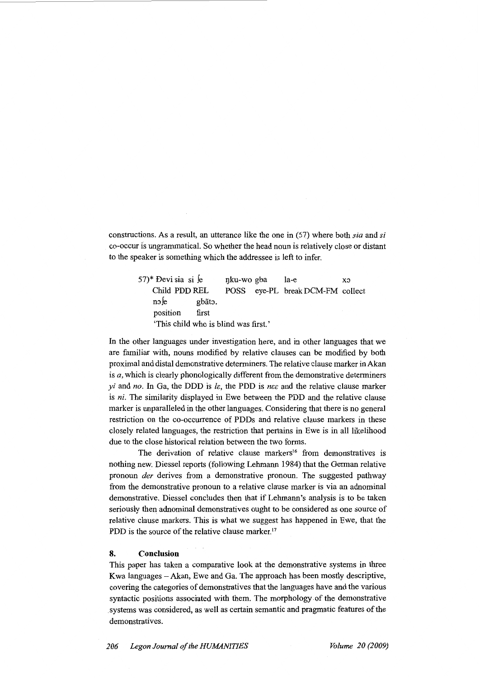constructions. As a result, an utterance like the one in (57) where both *sia* and *si*  co-occur is ungrammatical. So whether the head noun is relatively close or distant to the speaker is something which the addressee is left to infer.

> $(57)^*$  Devi sia si se Child PDD REL nole gbãto. position first nku-wo gba la-e xo POSS eye-PL break DCM-FM collect 'This child who is blind was first.'

In the other languages under investigation here, and in other languages that we are familiar with, nouns modified by relative clauses can be modified by both proximal and distal demonstrative determiners. The relative clause marker inAkan is *a,* which is clearly phonologically different from the demonstrative determiners *yi* and *no.* In Ga, the DDD is *le,* the PDD is *nee* and the relative clause marker is *ni.* The similarity displayed in Ewe between the PDD and the relative clause marker is unparalleled in the other languages. Considering that there is no general restriction on the co-occurrence of PDDs and relative clause markers in these closely related languages, the restriction that pertains in Ewe is in all likelihood due to the close historical relation between the two forms.

The derivation of relative clause markers<sup>16</sup> from demonstratives is nothing new. Diessel reports (following Lehmann 1984) that the German relative pronoun *der* derives from a demonstrative pronoun. The suggested pathway from the demonstrative pronoun to a relative clause marker is via an adnominal demonstrative. Diessel concludes then that if Lehmann's analysis is to be taken seriously then adnominal demonstratives ought to be considered as one source of relative clause markers. This is what we suggest has happened in Ewe, that the PDD is the source of the relative clause marker.<sup>17</sup>

## **8. Conclusion**

This paper has taken a comparative look at the demonstrative systems in three Kwa languages – Akan, Ewe and Ga. The approach has been mostly descriptive, covering the categories of demonstratives that the languages have and the various syntactic positions associated with them. The morphology. of the demonstrative . systems was considered, as well as certain semantic and pragmatic features of the demonstratives.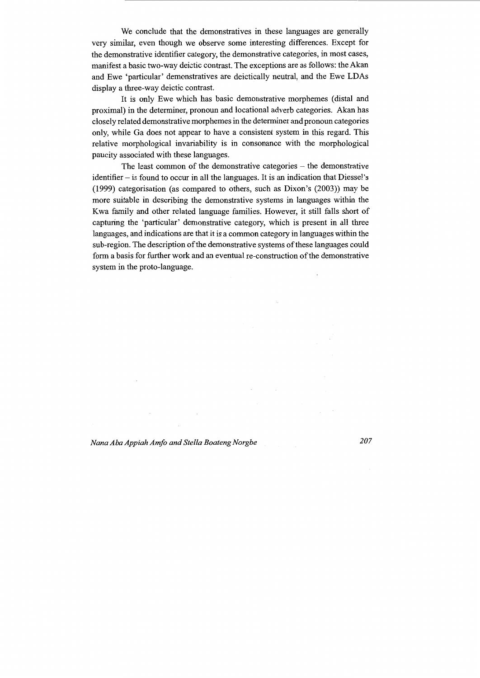We conclude that the demonstratives in these languages are generally very similar, even though we observe some interesting differences. Except for the demonstrative identifier category, the demonstrative categories, in most cases, manifest a basic two-way deictic contrast. The exceptions are as follows: the Akan and Ewe 'particular' demonstratives are deictically neutral, and the Ewe LDAs display a three-way deictic contrast.

It is only Ewe which has basic demonstrative morphemes (distal and proximal) in the determiner, pronoun and locational adverb categories. Akan has closely related demonstrative morphemes in the determiner and pronoun categories only, while Ga does not appear to have a consistent system in this regard. This relative morphological invariability is in consonance with the morphological paucity associated with these languages.

The least common of the demonstrative categories - the demonstrative identifier - is found to occur in all the languages. It is an indication that Diessel's (1999) categorisation (as compared to others, such as Dixon's (2003)) may be more suitable in describing the demonstrative systems in languages within the Kwa family and other related language families. However, it still falls short of capturing the 'particular' demonstrative category, which is present in all three languages, and indications are that it is a common category in languages within the sub-region. The description of the demonstrative systems of these languages could form a basis for further work and an eventual re-construction of the demonstrative system in the proto-language.

*Nana Aha Appiah Amfo and Stella Boateng Norgbe* 207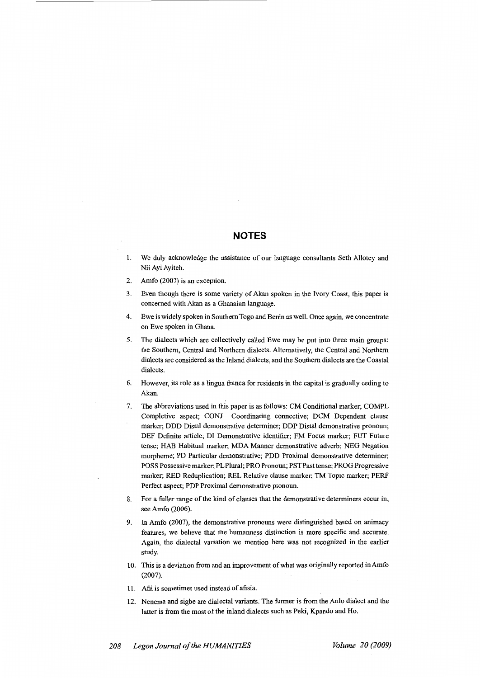# **NOTES**

- 1. We duly acknowledge the assistance of our language consultants Seth Allotey and Nii Ayi Ayiteh.
- 2. Amfo (2007) is an exception.
- 3. Even though there is some variety of Akan spoken in the Ivory Coast, this paper is concerned with Akan as a Ghanaian language.
- 4. Ewe is widely spoken in Southern Togo and Benin as well. Once again, we concentrate on Ewe spoken in Ghana.
- 5. The dialects which are collectively called Ewe may be put into three main groups: the Southern, Central and Northern dialects. Alternatively, the Central and Northern dialects are considered as the Inland dialects, and the Southern dialects are the Coastal dialects.
- 6. However, its role as a lingua franca for residents in the capital is gradually ceding to Akan.
- 7. The abbreviations used in this paper is as follows: CM Conditional marker; COMPL Completive aspect; CONJ Coordinating connective; DCM Dependent clause marker; DDD Distal demonstrative determiner; DDP Distal demonstrative pronoun; DEF Definite article; DI Demonstrative identifier; FM Focus marker; FUT Future tense; HAB Habitual marker; MDA Manner demonstrative adverb; NEG Negation morpheme; PD Particular demonstrative; PDD Proximal demonstrative determiner; POSS Possessive marker; PL Plural; PRO Pronoun; PST Past tense; PROG Progressive marker; RED Reduplication; REL Relative clause marker; TM Topic marker; PERF Perfect aspect; PDP Proximal demonstrative pronoun.
- 8. For a fuller range of the kind of clauses that the demonstrative determiners occur in, see Amfo (2006).
- 9. In Amfo (2007), the demonstrative pronouns were distinguished based on animacy features, we believe that the humanness distinction is more specific and accurate. Again, the dialectal variation we mention here was not recognized in the earlier study.
- I 0. This is a deviation from and an improvement of what was originally reported in Amfo (2007).
- 11. Afii is sometimes used instead of afisia.
- 12. Nenema and sigbe are dialectal variants. The former is from the Anlo dialect and the latter is from the most of the inland dialects such as Peki, Kpando and Ho.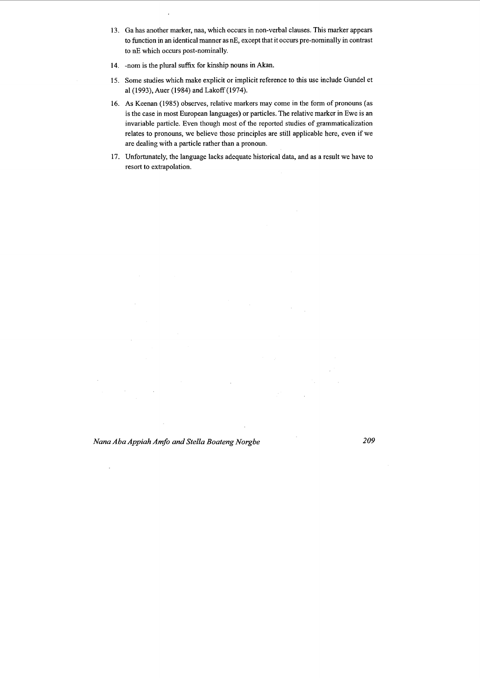- 13. Ga has another marker, naa, which occurs in non-verbal clauses. This marker appears to function in an identical manner as nE, except that it occurs pre-nominally in contrast to nE which occurs post-nominally.
- 14. -nom is the plural suffix for kinship nouns in Akan.
- 15. Some studies which make explicit or implicit reference to this use include Gundel et al (1993), Auer (1984) and Lakoff (1974).
- 16. As Keenan (1985) observes, relative markers may come in the form of pronouns (as is the case in most European languages) or particles. The relative marker in Ewe is an invariable particle. Even though most of the reported studies of grammaticalization relates to pronouns, we believe those principles are still applicable here, even if we are dealing with a particle rather than a pronoun.
- 17. Unfortunately, the language lacks adequate historical data, and as a result we have to resort to extrapolation.

*Nana Aha Appiah Amfo and Stella Boateng Norgbe 209* 

 $\ddot{\phantom{a}}$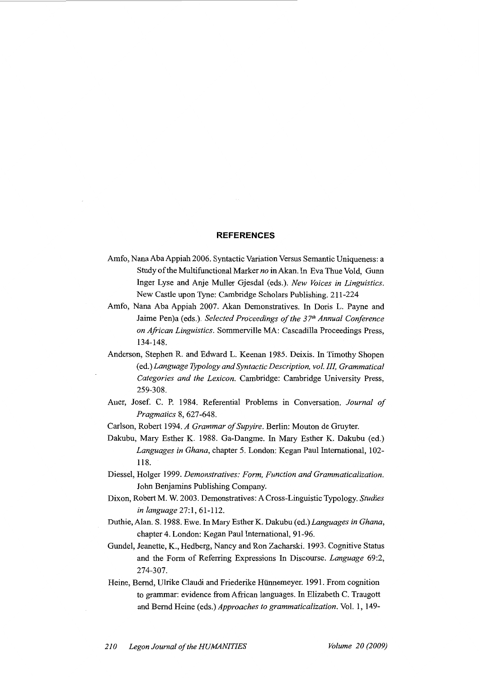#### **REFERENCES**

- Amfo, Nana Aha Appiah 2006. Syntactic Variation Versus Semantic Uniqueness: a Study of the Multifunctional Marker *no* in Akan. In Eva Thue Vold, Gunn Inger Lyse and Anje Muller Gjesdal (eds.). *New Voices in Linguistics.*  New Castle upon Tyne: Cambridge Scholars Publishing. 211-224
- Amfo, Nana Aha Appiah 2007. Akan Demonstratives. In Doris L. Payne and Jaime Pen)a (eds.). *Selected Proceedings of the 37*<sup>1</sup> <sup>h</sup>*Annual Conference on African Linguistics.* Sommerville MA: Cascadilla Proceedings Press, 134-148.
- Anderson, Stephen R. and Edward L. Keenan 1985. Deixis. In Timothy Shopen (ed.) *Language Typology and Syntactic Description, vol. Ill Grammatical Categories and the Lexicon.* Cambridge: Cambridge University Press, 259-308.
- Auer, Josef. C. P. 1984. Referential Problems in Conversation. *Journal of Pragmatics* 8, 627-648.
- Carlson, Robert 1994. *A Grammar of Supyire.* Berlin: Mouton de Gruyter.
- Dakubu, Mary Esther K. 1988. Ga-Dangme. In Mary Esther K. Dakubu (ed.) *Languages in Ghana,* chapter 5. London: Kegan Paul International, 102- 118.
- Diessel, Holger 1999. *Demonstratives: Form, Function and Grammaticalization.*  John Benjamins Publishing Company.
- Dixon, Robert M. W. 2003. Demonstratives: A Cross-Linguistic Typology. *Studies in language* 27:1, 61-112.
- Duthie, Alan. S. 1988. Ewe. In Mary Esther K. Dakubu (ed.) *Languages in Ghana,*  chapter 4. London: Kegan Paul International, 91-96.
- Gundel, Jeanette, K., Hedberg, Nancy and Ron Zacharski. 1993. Cognitive Status and the Form of Referring Expressions In Discourse. *Language* 69:2, 274-307.
- Heine, Bernd, Ulrike Claudi and Friederike Hiinnemeyer. 1991. From cognition to grammar: evidence from African languages. In Elizabeth C. Traugott and Bernd Heine (eds.) *Approaches to grammaticalization.* Vol. 1, 149-